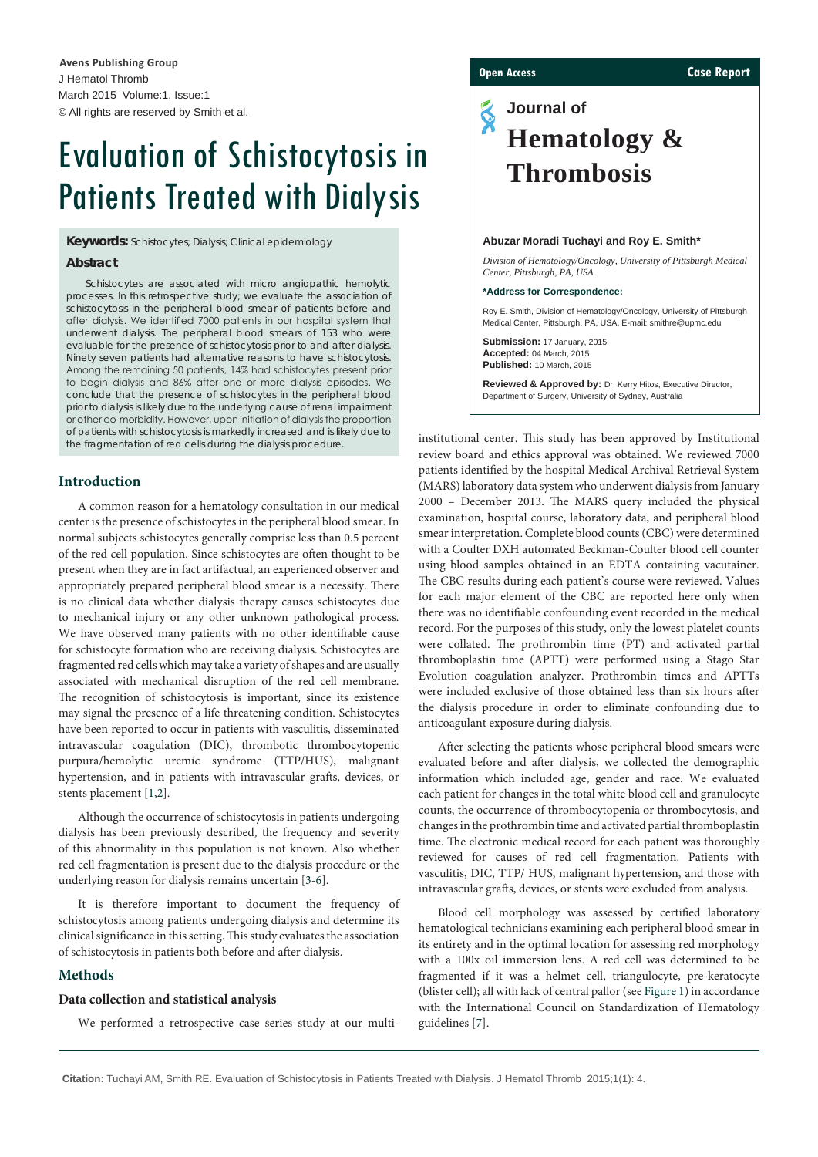# Evaluation of Schistocytosis in Patients Treated with Dialysis

**Keywords:** Schistocytes; Dialysis; Clinical epidemiology

#### **Abstract**

Schistocytes are associated with micro angiopathic hemolytic processes. In this retrospective study; we evaluate the association of schistocytosis in the peripheral blood smear of patients before and after dialysis. We identified 7000 patients in our hospital system that underwent dialysis. The peripheral blood smears of 153 who were evaluable for the presence of schistocytosis prior to and after dialysis. Ninety seven patients had alternative reasons to have schistocytosis. Among the remaining 50 patients, 14% had schistocytes present prior to begin dialysis and 86% after one or more dialysis episodes. We conclude that the presence of schistocytes in the peripheral blood prior to dialysis is likely due to the underlying cause of renal impairment or other co-morbidity. However, upon initiation of dialysis the proportion of patients with schistocytosis is markedly increased and is likely due to the fragmentation of red cells during the dialysis procedure.

### **Introduction**

A common reason for a hematology consultation in our medical center is the presence of schistocytes in the peripheral blood smear. In normal subjects schistocytes generally comprise less than 0.5 percent of the red cell population. Since schistocytes are often thought to be present when they are in fact artifactual, an experienced observer and appropriately prepared peripheral blood smear is a necessity. There is no clinical data whether dialysis therapy causes schistocytes due to mechanical injury or any other unknown pathological process. We have observed many patients with no other identifiable cause for schistocyte formation who are receiving dialysis. Schistocytes are fragmented red cells which may take a variety of shapes and are usually associated with mechanical disruption of the red cell membrane. The recognition of schistocytosis is important, since its existence may signal the presence of a life threatening condition. Schistocytes have been reported to occur in patients with vasculitis, disseminated intravascular coagulation (DIC), thrombotic thrombocytopenic purpura/hemolytic uremic syndrome (TTP/HUS), malignant hypertension, and in patients with intravascular grafts, devices, or stents placement [[1](#page-2-0)[,2\]](#page-3-0).

Although the occurrence of schistocytosis in patients undergoing dialysis has been previously described, the frequency and severity of this abnormality in this population is not known. Also whether red cell fragmentation is present due to the dialysis procedure or the underlying reason for dialysis remains uncertain [\[3-](#page-3-1)[6](#page-3-2)].

It is therefore important to document the frequency of schistocytosis among patients undergoing dialysis and determine its clinical significance in this setting. This study evaluates the association of schistocytosis in patients both before and after dialysis.

#### **Methods**

#### **Data collection and statistical analysis**

We performed a retrospective case series study at our multi-

#### **Open Access Case Report**

## **Journal of**  $\tilde{\bm{\mathrm{S}}}$ **Hematology & Thrombosis**

#### **Abuzar Moradi Tuchayi and Roy E. Smith\***

*Division of Hematology/Oncology, University of Pittsburgh Medical Center, Pittsburgh, PA, USA*

#### **\*Address for Correspondence:**

Roy E. Smith, Division of Hematology/Oncology, University of Pittsburgh Medical Center, Pittsburgh, PA, USA, E-mail: smithre@upmc.edu

**Submission:** 17 January, 2015 **Accepted:** 04 March, 2015 **Published:** 10 March, 2015

**Reviewed & Approved by:** Dr. Kerry Hitos, Executive Director, Department of Surgery, University of Sydney, Australia

institutional center. This study has been approved by Institutional review board and ethics approval was obtained. We reviewed 7000 patients identified by the hospital Medical Archival Retrieval System (MARS) laboratory data system who underwent dialysis from January 2000 – December 2013. The MARS query included the physical examination, hospital course, laboratory data, and peripheral blood smear interpretation. Complete blood counts (CBC) were determined with a Coulter DXH automated Beckman-Coulter blood cell counter using blood samples obtained in an EDTA containing vacutainer. The CBC results during each patient's course were reviewed. Values for each major element of the CBC are reported here only when there was no identifiable confounding event recorded in the medical record. For the purposes of this study, only the lowest platelet counts were collated. The prothrombin time (PT) and activated partial thromboplastin time (APTT) were performed using a Stago Star Evolution coagulation analyzer. Prothrombin times and APTTs were included exclusive of those obtained less than six hours after the dialysis procedure in order to eliminate confounding due to anticoagulant exposure during dialysis.

After selecting the patients whose peripheral blood smears were evaluated before and after dialysis, we collected the demographic information which included age, gender and race. We evaluated each patient for changes in the total white blood cell and granulocyte counts, the occurrence of thrombocytopenia or thrombocytosis, and changes in the prothrombin time and activated partial thromboplastin time. The electronic medical record for each patient was thoroughly reviewed for causes of red cell fragmentation. Patients with vasculitis, DIC, TTP/ HUS, malignant hypertension, and those with intravascular grafts, devices, or stents were excluded from analysis.

Blood cell morphology was assessed by certified laboratory hematological technicians examining each peripheral blood smear in its entirety and in the optimal location for assessing red morphology with a 100x oil immersion lens. A red cell was determined to be fragmented if it was a helmet cell, triangulocyte, pre-keratocyte (blister cell); all with lack of central pallor (see [Figure 1](#page-1-0)) in accordance with the International Council on Standardization of Hematology guidelines [[7\]](#page-3-3).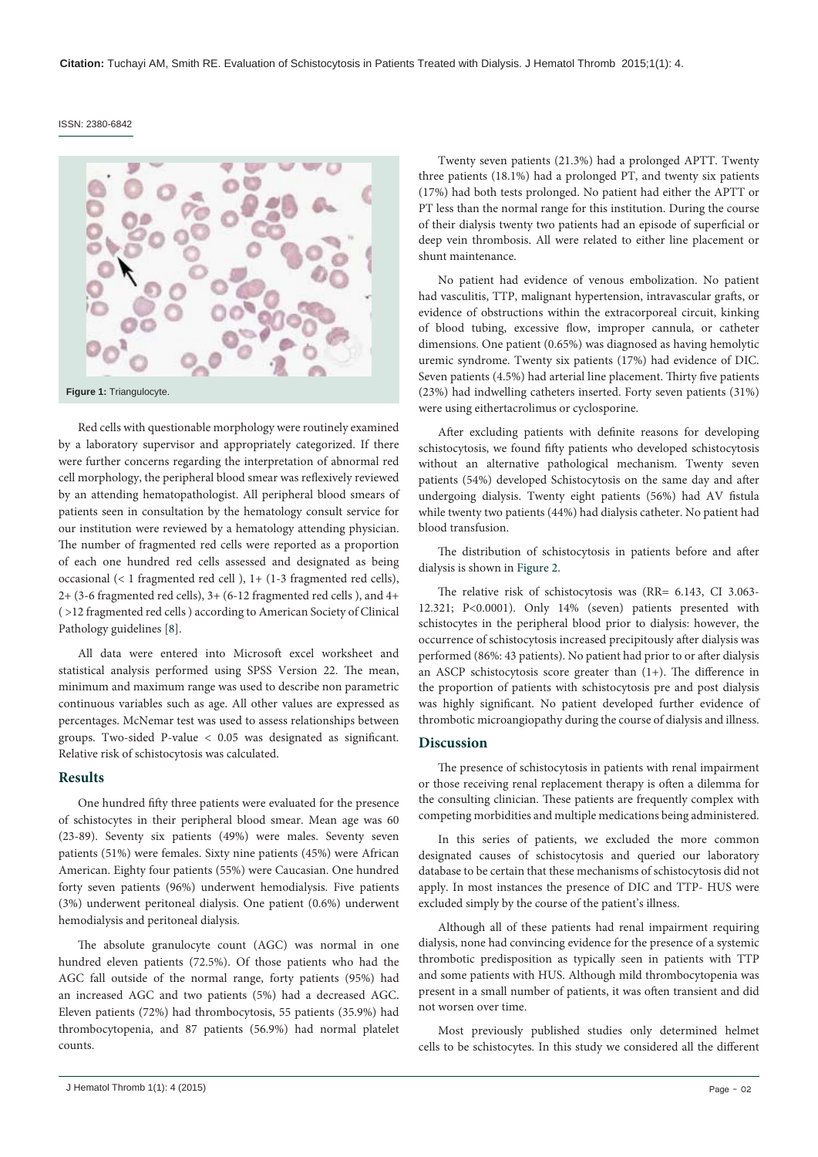#### ISSN: 2380-6842

<span id="page-1-0"></span>

Red cells with questionable morphology were routinely examined by a laboratory supervisor and appropriately categorized. If there were further concerns regarding the interpretation of abnormal red cell morphology, the peripheral blood smear was reflexively reviewed by an attending hematopathologist. All peripheral blood smears of patients seen in consultation by the hematology consult service for our institution were reviewed by a hematology attending physician. The number of fragmented red cells were reported as a proportion of each one hundred red cells assessed and designated as being occasional (< 1 fragmented red cell ), 1+ (1-3 fragmented red cells), 2+ (3-6 fragmented red cells), 3+ (6-12 fragmented red cells ), and 4+ ( >12 fragmented red cells ) according to American Society of Clinical Pathology guidelines [[8](#page-3-4)].

All data were entered into Microsoft excel worksheet and statistical analysis performed using SPSS Version 22. The mean, minimum and maximum range was used to describe non parametric continuous variables such as age. All other values are expressed as percentages. McNemar test was used to assess relationships between groups. Two-sided P-value < 0.05 was designated as significant. Relative risk of schistocytosis was calculated.

#### **Results**

One hundred fifty three patients were evaluated for the presence of schistocytes in their peripheral blood smear. Mean age was 60 (23-89). Seventy six patients (49%) were males. Seventy seven patients (51%) were females. Sixty nine patients (45%) were African American. Eighty four patients (55%) were Caucasian. One hundred forty seven patients (96%) underwent hemodialysis. Five patients (3%) underwent peritoneal dialysis. One patient (0.6%) underwent hemodialysis and peritoneal dialysis.

The absolute granulocyte count (AGC) was normal in one hundred eleven patients (72.5%). Of those patients who had the AGC fall outside of the normal range, forty patients (95%) had an increased AGC and two patients (5%) had a decreased AGC. Eleven patients (72%) had thrombocytosis, 55 patients (35.9%) had thrombocytopenia, and 87 patients (56.9%) had normal platelet counts.

Twenty seven patients (21.3%) had a prolonged APTT. Twenty three patients (18.1%) had a prolonged PT, and twenty six patients (17%) had both tests prolonged. No patient had either the APTT or PT less than the normal range for this institution. During the course of their dialysis twenty two patients had an episode of superficial or deep vein thrombosis. All were related to either line placement or shunt maintenance.

No patient had evidence of venous embolization. No patient had vasculitis, TTP, malignant hypertension, intravascular grafts, or evidence of obstructions within the extracorporeal circuit, kinking of blood tubing, excessive flow, improper cannula, or catheter dimensions. One patient (0.65%) was diagnosed as having hemolytic uremic syndrome. Twenty six patients (17%) had evidence of DIC. Seven patients (4.5%) had arterial line placement. Thirty five patients (23%) had indwelling catheters inserted. Forty seven patients (31%) were using eithertacrolimus or cyclosporine.

After excluding patients with definite reasons for developing schistocytosis, we found fifty patients who developed schistocytosis without an alternative pathological mechanism. Twenty seven patients (54%) developed Schistocytosis on the same day and after undergoing dialysis. Twenty eight patients (56%) had AV fistula while twenty two patients (44%) had dialysis catheter. No patient had blood transfusion.

The distribution of schistocytosis in patients before and after dialysis is shown in [Figure 2.](#page-2-1)

The relative risk of schistocytosis was (RR= 6.143, CI 3.063- 12.321; P<0.0001). Only 14% (seven) patients presented with schistocytes in the peripheral blood prior to dialysis: however, the occurrence of schistocytosis increased precipitously after dialysis was performed (86%: 43 patients). No patient had prior to or after dialysis an ASCP schistocytosis score greater than (1+). The difference in the proportion of patients with schistocytosis pre and post dialysis was highly significant. No patient developed further evidence of thrombotic microangiopathy during the course of dialysis and illness.

#### **Discussion**

The presence of schistocytosis in patients with renal impairment or those receiving renal replacement therapy is often a dilemma for the consulting clinician. These patients are frequently complex with competing morbidities and multiple medications being administered.

In this series of patients, we excluded the more common designated causes of schistocytosis and queried our laboratory database to be certain that these mechanisms of schistocytosis did not apply. In most instances the presence of DIC and TTP- HUS were excluded simply by the course of the patient's illness.

Although all of these patients had renal impairment requiring dialysis, none had convincing evidence for the presence of a systemic thrombotic predisposition as typically seen in patients with TTP and some patients with HUS. Although mild thrombocytopenia was present in a small number of patients, it was often transient and did not worsen over time.

Most previously published studies only determined helmet cells to be schistocytes. In this study we considered all the different

J Hematol Thromb 1(1): 4 (2015) Page - 02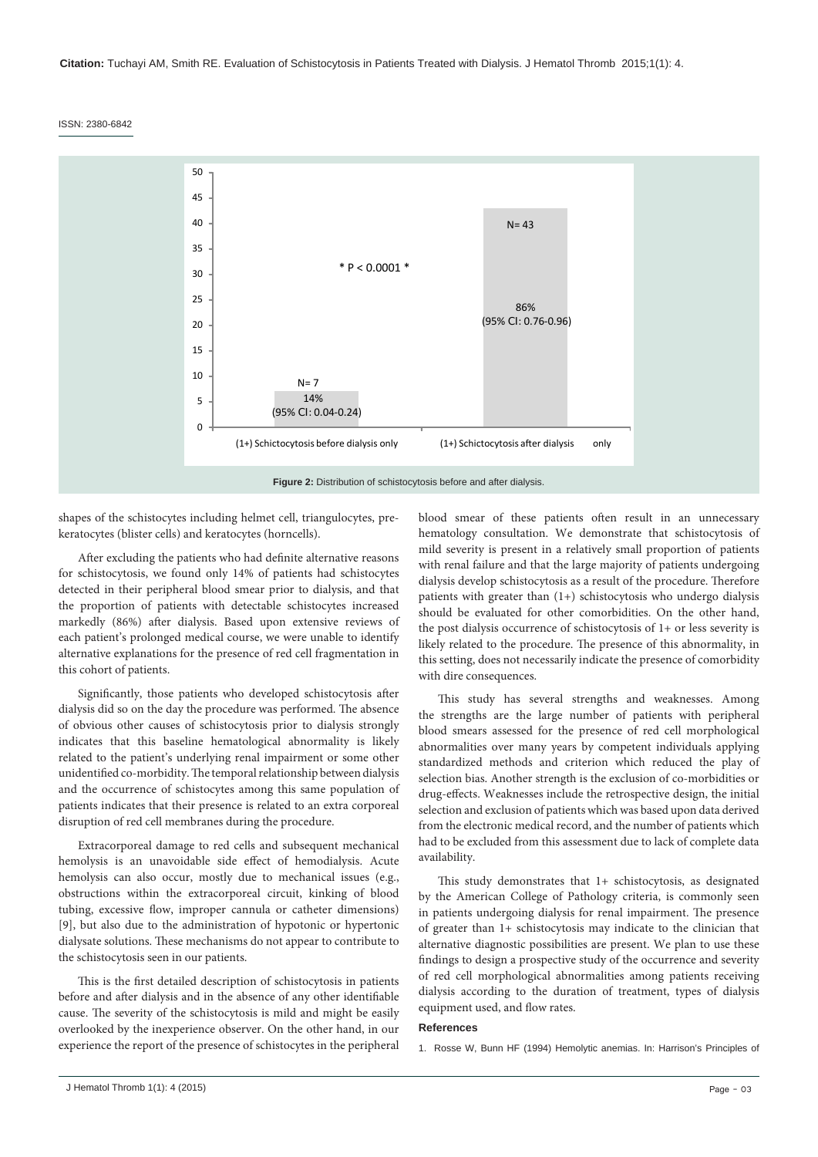**Citation:** Tuchayi AM, Smith RE. Evaluation of Schistocytosis in Patients Treated with Dialysis. J Hematol Thromb 2015;1(1): 4.

ISSN: 2380-6842

<span id="page-2-1"></span>

shapes of the schistocytes including helmet cell, triangulocytes, prekeratocytes (blister cells) and keratocytes (horncells).

After excluding the patients who had definite alternative reasons for schistocytosis, we found only 14% of patients had schistocytes detected in their peripheral blood smear prior to dialysis, and that the proportion of patients with detectable schistocytes increased markedly (86%) after dialysis. Based upon extensive reviews of each patient's prolonged medical course, we were unable to identify alternative explanations for the presence of red cell fragmentation in this cohort of patients.

Significantly, those patients who developed schistocytosis after dialysis did so on the day the procedure was performed. The absence of obvious other causes of schistocytosis prior to dialysis strongly indicates that this baseline hematological abnormality is likely related to the patient's underlying renal impairment or some other unidentified co-morbidity. The temporal relationship between dialysis and the occurrence of schistocytes among this same population of patients indicates that their presence is related to an extra corporeal disruption of red cell membranes during the procedure.

Extracorporeal damage to red cells and subsequent mechanical hemolysis is an unavoidable side effect of hemodialysis. Acute hemolysis can also occur, mostly due to mechanical issues (e.g., obstructions within the extracorporeal circuit, kinking of blood tubing, excessive flow, improper cannula or catheter dimensions) [9], but also due to the administration of hypotonic or hypertonic dialysate solutions. These mechanisms do not appear to contribute to the schistocytosis seen in our patients.

This is the first detailed description of schistocytosis in patients before and after dialysis and in the absence of any other identifiable cause. The severity of the schistocytosis is mild and might be easily overlooked by the inexperience observer. On the other hand, in our experience the report of the presence of schistocytes in the peripheral blood smear of these patients often result in an unnecessary hematology consultation. We demonstrate that schistocytosis of mild severity is present in a relatively small proportion of patients with renal failure and that the large majority of patients undergoing dialysis develop schistocytosis as a result of the procedure. Therefore patients with greater than (1+) schistocytosis who undergo dialysis should be evaluated for other comorbidities. On the other hand, the post dialysis occurrence of schistocytosis of 1+ or less severity is likely related to the procedure. The presence of this abnormality, in this setting, does not necessarily indicate the presence of comorbidity with dire consequences.

This study has several strengths and weaknesses. Among the strengths are the large number of patients with peripheral blood smears assessed for the presence of red cell morphological abnormalities over many years by competent individuals applying standardized methods and criterion which reduced the play of selection bias. Another strength is the exclusion of co-morbidities or drug-effects. Weaknesses include the retrospective design, the initial selection and exclusion of patients which was based upon data derived from the electronic medical record, and the number of patients which had to be excluded from this assessment due to lack of complete data availability.

This study demonstrates that 1+ schistocytosis, as designated by the American College of Pathology criteria, is commonly seen in patients undergoing dialysis for renal impairment. The presence of greater than 1+ schistocytosis may indicate to the clinician that alternative diagnostic possibilities are present. We plan to use these findings to design a prospective study of the occurrence and severity of red cell morphological abnormalities among patients receiving dialysis according to the duration of treatment, types of dialysis equipment used, and flow rates.

#### **References**

<span id="page-2-0"></span>1. Rosse W, Bunn HF (1994) Hemolytic anemias. In: Harrison's Principles of